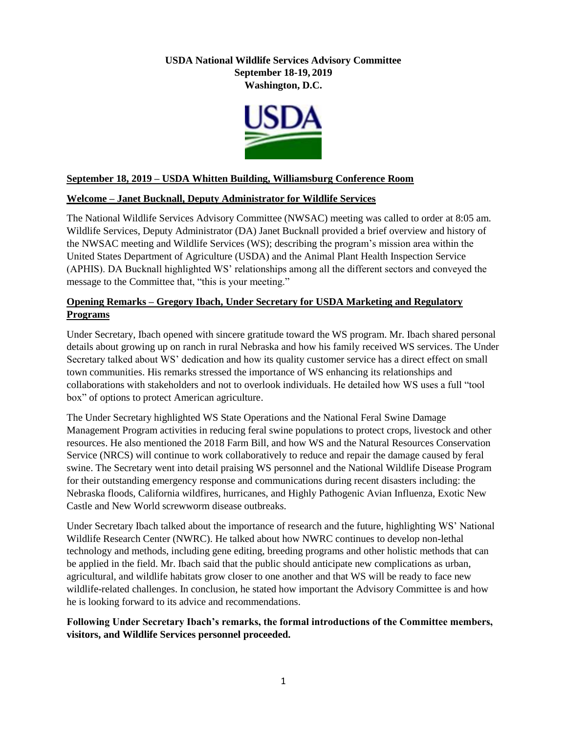# **USDA National Wildlife Services Advisory Committee September 18-19, 2019 Washington, D.C.**



# **September 18, 2019 – USDA Whitten Building, Williamsburg Conference Room**

## **Welcome – Janet Bucknall, Deputy Administrator for Wildlife Services**

The National Wildlife Services Advisory Committee (NWSAC) meeting was called to order at 8:05 am. Wildlife Services, Deputy Administrator (DA) Janet Bucknall provided a brief overview and history of the NWSAC meeting and Wildlife Services (WS); describing the program's mission area within the United States Department of Agriculture (USDA) and the Animal Plant Health Inspection Service (APHIS). DA Bucknall highlighted WS' relationships among all the different sectors and conveyed the message to the Committee that, "this is your meeting."

# **Opening Remarks – Gregory Ibach, Under Secretary for USDA Marketing and Regulatory Programs**

Under Secretary, Ibach opened with sincere gratitude toward the WS program. Mr. Ibach shared personal details about growing up on ranch in rural Nebraska and how his family received WS services. The Under Secretary talked about WS' dedication and how its quality customer service has a direct effect on small town communities. His remarks stressed the importance of WS enhancing its relationships and collaborations with stakeholders and not to overlook individuals. He detailed how WS uses a full "tool box" of options to protect American agriculture.

The Under Secretary highlighted WS State Operations and the National Feral Swine Damage Management Program activities in reducing feral swine populations to protect crops, livestock and other resources. He also mentioned the 2018 Farm Bill, and how WS and the Natural Resources Conservation Service (NRCS) will continue to work collaboratively to reduce and repair the damage caused by feral swine. The Secretary went into detail praising WS personnel and the National Wildlife Disease Program for their outstanding emergency response and communications during recent disasters including: the Nebraska floods, California wildfires, hurricanes, and Highly Pathogenic Avian Influenza, Exotic New Castle and New World screwworm disease outbreaks.

Under Secretary Ibach talked about the importance of research and the future, highlighting WS' National Wildlife Research Center (NWRC). He talked about how NWRC continues to develop non-lethal technology and methods, including gene editing, breeding programs and other holistic methods that can be applied in the field. Mr. Ibach said that the public should anticipate new complications as urban, agricultural, and wildlife habitats grow closer to one another and that WS will be ready to face new wildlife-related challenges. In conclusion, he stated how important the Advisory Committee is and how he is looking forward to its advice and recommendations.

## **Following Under Secretary Ibach's remarks, the formal introductions of the Committee members, visitors, and Wildlife Services personnel proceeded.**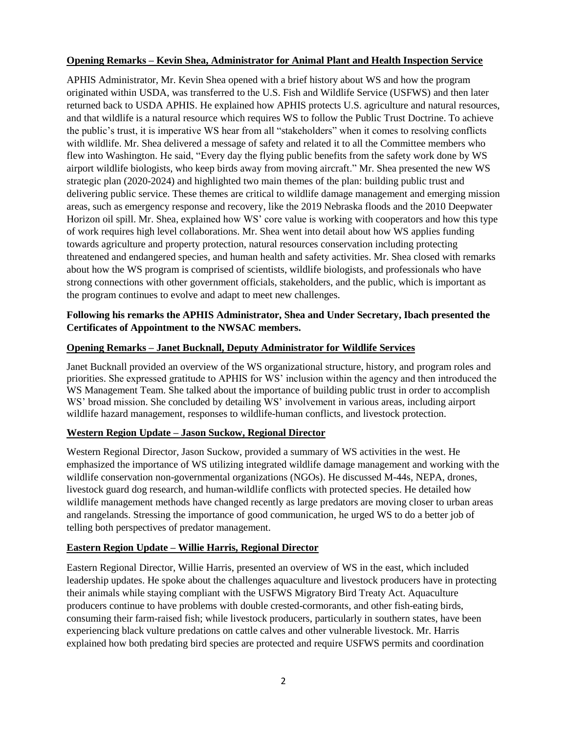## **Opening Remarks – Kevin Shea, Administrator for Animal Plant and Health Inspection Service**

APHIS Administrator, Mr. Kevin Shea opened with a brief history about WS and how the program originated within USDA, was transferred to the U.S. Fish and Wildlife Service (USFWS) and then later returned back to USDA APHIS. He explained how APHIS protects U.S. agriculture and natural resources, and that wildlife is a natural resource which requires WS to follow the Public Trust Doctrine. To achieve the public's trust, it is imperative WS hear from all "stakeholders" when it comes to resolving conflicts with wildlife. Mr. Shea delivered a message of safety and related it to all the Committee members who flew into Washington. He said, "Every day the flying public benefits from the safety work done by WS airport wildlife biologists, who keep birds away from moving aircraft." Mr. Shea presented the new WS strategic plan (2020-2024) and highlighted two main themes of the plan: building public trust and delivering public service. These themes are critical to wildlife damage management and emerging mission areas, such as emergency response and recovery, like the 2019 Nebraska floods and the 2010 Deepwater Horizon oil spill. Mr. Shea, explained how WS' core value is working with cooperators and how this type of work requires high level collaborations. Mr. Shea went into detail about how WS applies funding towards agriculture and property protection, natural resources conservation including protecting threatened and endangered species, and human health and safety activities. Mr. Shea closed with remarks about how the WS program is comprised of scientists, wildlife biologists, and professionals who have strong connections with other government officials, stakeholders, and the public, which is important as the program continues to evolve and adapt to meet new challenges.

# **Following his remarks the APHIS Administrator, Shea and Under Secretary, Ibach presented the Certificates of Appointment to the NWSAC members.**

## **Opening Remarks – Janet Bucknall, Deputy Administrator for Wildlife Services**

Janet Bucknall provided an overview of the WS organizational structure, history, and program roles and priorities. She expressed gratitude to APHIS for WS' inclusion within the agency and then introduced the WS Management Team. She talked about the importance of building public trust in order to accomplish WS' broad mission. She concluded by detailing WS' involvement in various areas, including airport wildlife hazard management, responses to wildlife-human conflicts, and livestock protection.

# **Western Region Update – Jason Suckow, Regional Director**

Western Regional Director, Jason Suckow, provided a summary of WS activities in the west. He emphasized the importance of WS utilizing integrated wildlife damage management and working with the wildlife conservation non-governmental organizations (NGOs). He discussed M-44s, NEPA, drones, livestock guard dog research, and human-wildlife conflicts with protected species. He detailed how wildlife management methods have changed recently as large predators are moving closer to urban areas and rangelands. Stressing the importance of good communication, he urged WS to do a better job of telling both perspectives of predator management.

# **Eastern Region Update – Willie Harris, Regional Director**

Eastern Regional Director, Willie Harris, presented an overview of WS in the east, which included leadership updates. He spoke about the challenges aquaculture and livestock producers have in protecting their animals while staying compliant with the USFWS Migratory Bird Treaty Act. Aquaculture producers continue to have problems with double crested-cormorants, and other fish-eating birds, consuming their farm-raised fish; while livestock producers, particularly in southern states, have been experiencing black vulture predations on cattle calves and other vulnerable livestock. Mr. Harris explained how both predating bird species are protected and require USFWS permits and coordination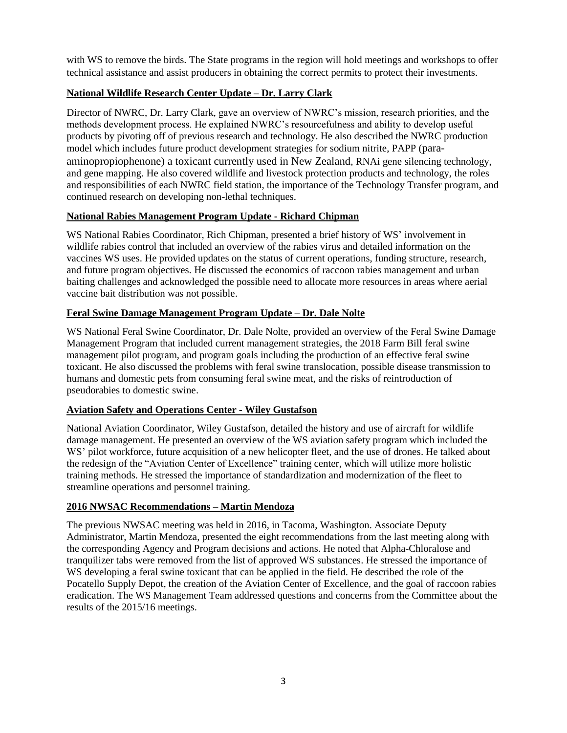with WS to remove the birds. The State programs in the region will hold meetings and workshops to offer technical assistance and assist producers in obtaining the correct permits to protect their investments.

# **National Wildlife Research Center Update – Dr. Larry Clark**

Director of NWRC, Dr. Larry Clark, gave an overview of NWRC's mission, research priorities, and the methods development process. He explained NWRC's resourcefulness and ability to develop useful products by pivoting off of previous research and technology. He also described the NWRC production model which includes future product development strategies for sodium nitrite, PAPP (paraaminopropiophenone) a toxicant currently used in New Zealand, RNAi gene silencing technology, and gene mapping. He also covered wildlife and livestock protection products and technology, the roles and responsibilities of each NWRC field station, the importance of the Technology Transfer program, and continued research on developing non-lethal techniques.

# **National Rabies Management Program Update - Richard Chipman**

WS National Rabies Coordinator, Rich Chipman, presented a brief history of WS' involvement in wildlife rabies control that included an overview of the rabies virus and detailed information on the vaccines WS uses. He provided updates on the status of current operations, funding structure, research, and future program objectives. He discussed the economics of raccoon rabies management and urban baiting challenges and acknowledged the possible need to allocate more resources in areas where aerial vaccine bait distribution was not possible.

# **Feral Swine Damage Management Program Update – Dr. Dale Nolte**

WS National Feral Swine Coordinator, Dr. Dale Nolte, provided an overview of the Feral Swine Damage Management Program that included current management strategies, the 2018 Farm Bill feral swine management pilot program, and program goals including the production of an effective feral swine toxicant. He also discussed the problems with feral swine translocation, possible disease transmission to humans and domestic pets from consuming feral swine meat, and the risks of reintroduction of pseudorabies to domestic swine.

# **Aviation Safety and Operations Center - Wiley Gustafson**

National Aviation Coordinator, Wiley Gustafson, detailed the history and use of aircraft for wildlife damage management. He presented an overview of the WS aviation safety program which included the WS' pilot workforce, future acquisition of a new helicopter fleet, and the use of drones. He talked about the redesign of the "Aviation Center of Excellence" training center, which will utilize more holistic training methods. He stressed the importance of standardization and modernization of the fleet to streamline operations and personnel training.

### **2016 NWSAC Recommendations – Martin Mendoza**

The previous NWSAC meeting was held in 2016, in Tacoma, Washington. Associate Deputy Administrator, Martin Mendoza, presented the eight recommendations from the last meeting along with the corresponding Agency and Program decisions and actions. He noted that Alpha-Chloralose and tranquilizer tabs were removed from the list of approved WS substances. He stressed the importance of WS developing a feral swine toxicant that can be applied in the field. He described the role of the Pocatello Supply Depot, the creation of the Aviation Center of Excellence, and the goal of raccoon rabies eradication. The WS Management Team addressed questions and concerns from the Committee about the results of the 2015/16 meetings.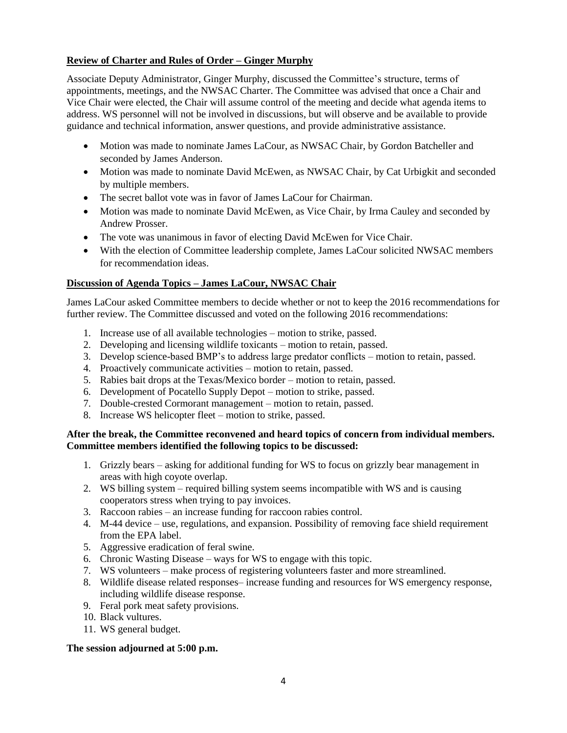# **Review of Charter and Rules of Order – Ginger Murphy**

Associate Deputy Administrator, Ginger Murphy, discussed the Committee's structure, terms of appointments, meetings, and the NWSAC Charter. The Committee was advised that once a Chair and Vice Chair were elected, the Chair will assume control of the meeting and decide what agenda items to address. WS personnel will not be involved in discussions, but will observe and be available to provide guidance and technical information, answer questions, and provide administrative assistance.

- Motion was made to nominate James LaCour, as NWSAC Chair, by Gordon Batcheller and seconded by James Anderson.
- Motion was made to nominate David McEwen, as NWSAC Chair, by Cat Urbigkit and seconded by multiple members.
- The secret ballot vote was in favor of James LaCour for Chairman.
- Motion was made to nominate David McEwen, as Vice Chair, by Irma Cauley and seconded by Andrew Prosser.
- The vote was unanimous in favor of electing David McEwen for Vice Chair.
- With the election of Committee leadership complete, James LaCour solicited NWSAC members for recommendation ideas.

## **Discussion of Agenda Topics – James LaCour, NWSAC Chair**

James LaCour asked Committee members to decide whether or not to keep the 2016 recommendations for further review. The Committee discussed and voted on the following 2016 recommendations:

- 1. Increase use of all available technologies motion to strike, passed.
- 2. Developing and licensing wildlife toxicants motion to retain, passed.
- 3. Develop science-based BMP's to address large predator conflicts motion to retain, passed.
- 4. Proactively communicate activities motion to retain, passed.
- 5. Rabies bait drops at the Texas/Mexico border motion to retain, passed.
- 6. Development of Pocatello Supply Depot motion to strike, passed.
- 7. Double-crested Cormorant management motion to retain, passed.
- 8. Increase WS helicopter fleet motion to strike, passed.

### **After the break, the Committee reconvened and heard topics of concern from individual members. Committee members identified the following topics to be discussed:**

- 1. Grizzly bears asking for additional funding for WS to focus on grizzly bear management in areas with high coyote overlap.
- 2. WS billing system required billing system seems incompatible with WS and is causing cooperators stress when trying to pay invoices.
- 3. Raccoon rabies an increase funding for raccoon rabies control.
- 4. M-44 device use, regulations, and expansion. Possibility of removing face shield requirement from the EPA label.
- 5. Aggressive eradication of feral swine.
- 6. Chronic Wasting Disease ways for WS to engage with this topic.
- 7. WS volunteers make process of registering volunteers faster and more streamlined.
- 8. Wildlife disease related responses– increase funding and resources for WS emergency response, including wildlife disease response.
- 9. Feral pork meat safety provisions.
- 10. Black vultures.
- 11. WS general budget.

### **The session adjourned at 5:00 p.m.**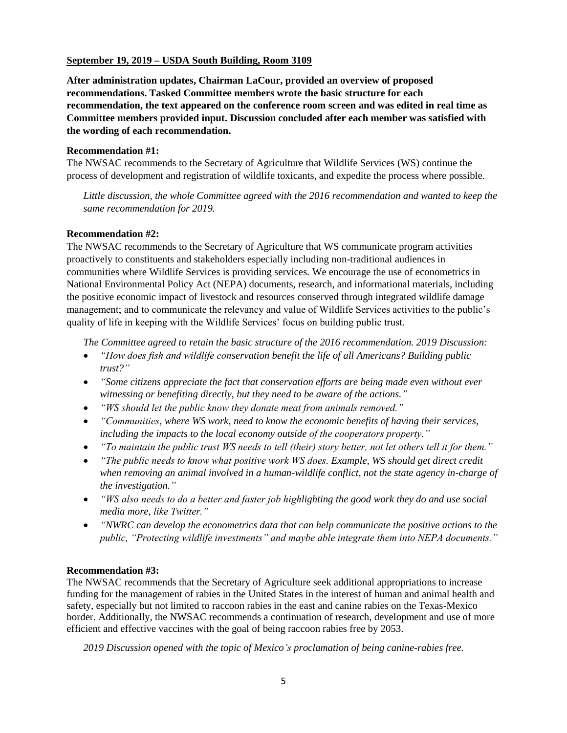### **September 19, 2019 – USDA South Building, Room 3109**

**After administration updates, Chairman LaCour, provided an overview of proposed recommendations. Tasked Committee members wrote the basic structure for each recommendation, the text appeared on the conference room screen and was edited in real time as Committee members provided input. Discussion concluded after each member was satisfied with the wording of each recommendation.** 

#### **Recommendation #1:**

The NWSAC recommends to the Secretary of Agriculture that Wildlife Services (WS) continue the process of development and registration of wildlife toxicants, and expedite the process where possible.

*Little discussion, the whole Committee agreed with the 2016 recommendation and wanted to keep the same recommendation for 2019.*

### **Recommendation #2:**

The NWSAC recommends to the Secretary of Agriculture that WS communicate program activities proactively to constituents and stakeholders especially including non-traditional audiences in communities where Wildlife Services is providing services. We encourage the use of econometrics in National Environmental Policy Act (NEPA) documents, research, and informational materials, including the positive economic impact of livestock and resources conserved through integrated wildlife damage management; and to communicate the relevancy and value of Wildlife Services activities to the public's quality of life in keeping with the Wildlife Services' focus on building public trust.

*The Committee agreed to retain the basic structure of the 2016 recommendation. 2019 Discussion:* 

- *"How does fish and wildlife conservation benefit the life of all Americans? Building public trust?"*
- *"Some citizens appreciate the fact that conservation efforts are being made even without ever witnessing or benefiting directly, but they need to be aware of the actions."*
- *"WS should let the public know they donate meat from animals removed."*
- *"Communities, where WS work, need to know the economic benefits of having their services, including the impacts to the local economy outside of the cooperators property."*
- *"To maintain the public trust WS needs to tell (their) story better, not let others tell it for them."*
- *"The public needs to know what positive work WS does. Example, WS should get direct credit when removing an animal involved in a human-wildlife conflict, not the state agency in-charge of the investigation."*
- *"WS also needs to do a better and faster job highlighting the good work they do and use social media more, like Twitter."*
- *"NWRC can develop the econometrics data that can help communicate the positive actions to the public, "Protecting wildlife investments" and maybe able integrate them into NEPA documents."*

### **Recommendation #3:**

The NWSAC recommends that the Secretary of Agriculture seek additional appropriations to increase funding for the management of rabies in the United States in the interest of human and animal health and safety, especially but not limited to raccoon rabies in the east and canine rabies on the Texas-Mexico border. Additionally, the NWSAC recommends a continuation of research, development and use of more efficient and effective vaccines with the goal of being raccoon rabies free by 2053.

*2019 Discussion opened with the topic of Mexico's proclamation of being canine-rabies free.*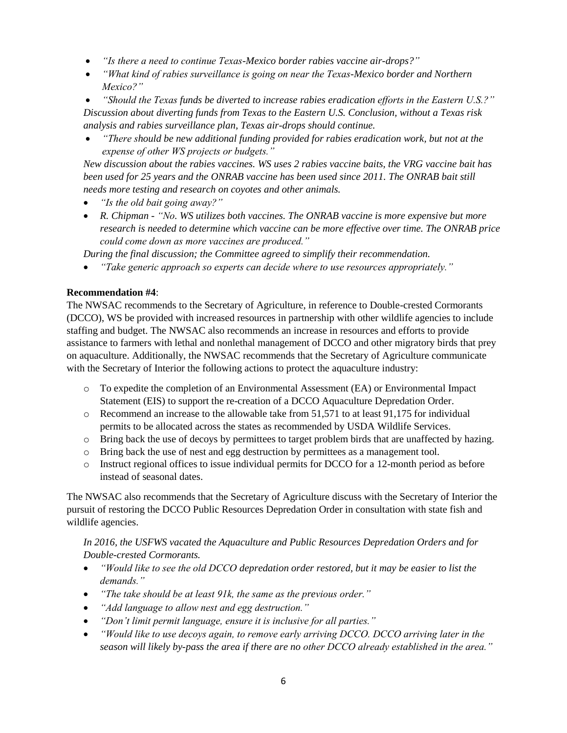- *"Is there a need to continue Texas-Mexico border rabies vaccine air-drops?"*
- *"What kind of rabies surveillance is going on near the Texas-Mexico border and Northern Mexico?"*

 *"Should the Texas funds be diverted to increase rabies eradication efforts in the Eastern U.S.?" Discussion about diverting funds from Texas to the Eastern U.S. Conclusion, without a Texas risk analysis and rabies surveillance plan, Texas air-drops should continue.*

 *"There should be new additional funding provided for rabies eradication work, but not at the expense of other WS projects or budgets."*

*New discussion about the rabies vaccines. WS uses 2 rabies vaccine baits, the VRG vaccine bait has been used for 25 years and the ONRAB vaccine has been used since 2011. The ONRAB bait still needs more testing and research on coyotes and other animals.*

- *"Is the old bait going away?"*
- *R. Chipman - "No. WS utilizes both vaccines. The ONRAB vaccine is more expensive but more research is needed to determine which vaccine can be more effective over time. The ONRAB price could come down as more vaccines are produced."*

*During the final discussion; the Committee agreed to simplify their recommendation.* 

*"Take generic approach so experts can decide where to use resources appropriately."* 

## **Recommendation #4**:

The NWSAC recommends to the Secretary of Agriculture, in reference to Double-crested Cormorants (DCCO), WS be provided with increased resources in partnership with other wildlife agencies to include staffing and budget. The NWSAC also recommends an increase in resources and efforts to provide assistance to farmers with lethal and nonlethal management of DCCO and other migratory birds that prey on aquaculture. Additionally, the NWSAC recommends that the Secretary of Agriculture communicate with the Secretary of Interior the following actions to protect the aquaculture industry:

- o To expedite the completion of an Environmental Assessment (EA) or Environmental Impact Statement (EIS) to support the re-creation of a DCCO Aquaculture Depredation Order.
- $\circ$  Recommend an increase to the allowable take from 51,571 to at least 91,175 for individual permits to be allocated across the states as recommended by USDA Wildlife Services.
- o Bring back the use of decoys by permittees to target problem birds that are unaffected by hazing.
- o Bring back the use of nest and egg destruction by permittees as a management tool.
- o Instruct regional offices to issue individual permits for DCCO for a 12-month period as before instead of seasonal dates.

The NWSAC also recommends that the Secretary of Agriculture discuss with the Secretary of Interior the pursuit of restoring the DCCO Public Resources Depredation Order in consultation with state fish and wildlife agencies.

# *In 2016, the USFWS vacated the Aquaculture and Public Resources Depredation Orders and for Double-crested Cormorants.*

- *"Would like to see the old DCCO depredation order restored, but it may be easier to list the demands."*
- *"The take should be at least 91k, the same as the previous order."*
- *"Add language to allow nest and egg destruction."*
- *"Don't limit permit language, ensure it is inclusive for all parties."*
- *"Would like to use decoys again, to remove early arriving DCCO. DCCO arriving later in the season will likely by-pass the area if there are no other DCCO already established in the area."*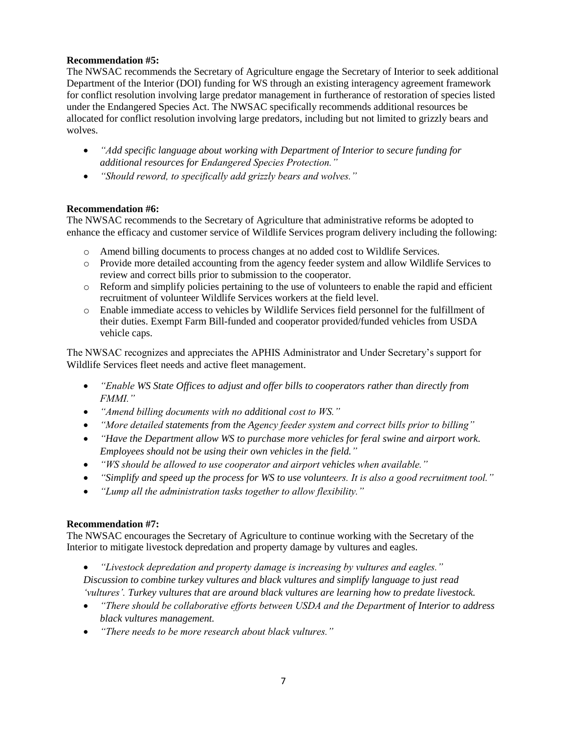## **Recommendation #5:**

The NWSAC recommends the Secretary of Agriculture engage the Secretary of Interior to seek additional Department of the Interior (DOI) funding for WS through an existing interagency agreement framework for conflict resolution involving large predator management in furtherance of restoration of species listed under the Endangered Species Act. The NWSAC specifically recommends additional resources be allocated for conflict resolution involving large predators, including but not limited to grizzly bears and wolves.

- *"Add specific language about working with Department of Interior to secure funding for additional resources for Endangered Species Protection."*
- *"Should reword, to specifically add grizzly bears and wolves."*

## **Recommendation #6:**

The NWSAC recommends to the Secretary of Agriculture that administrative reforms be adopted to enhance the efficacy and customer service of Wildlife Services program delivery including the following:

- o Amend billing documents to process changes at no added cost to Wildlife Services.
- o Provide more detailed accounting from the agency feeder system and allow Wildlife Services to review and correct bills prior to submission to the cooperator.
- o Reform and simplify policies pertaining to the use of volunteers to enable the rapid and efficient recruitment of volunteer Wildlife Services workers at the field level.
- o Enable immediate access to vehicles by Wildlife Services field personnel for the fulfillment of their duties. Exempt Farm Bill-funded and cooperator provided/funded vehicles from USDA vehicle caps.

The NWSAC recognizes and appreciates the APHIS Administrator and Under Secretary's support for Wildlife Services fleet needs and active fleet management.

- *"Enable WS State Offices to adjust and offer bills to cooperators rather than directly from FMMI."*
- *"Amend billing documents with no additional cost to WS."*
- *"More detailed statements from the Agency feeder system and correct bills prior to billing"*
- *"Have the Department allow WS to purchase more vehicles for feral swine and airport work. Employees should not be using their own vehicles in the field."*
- *"WS should be allowed to use cooperator and airport vehicles when available."*
- *"Simplify and speed up the process for WS to use volunteers. It is also a good recruitment tool."*
- *"Lump all the administration tasks together to allow flexibility."*

### **Recommendation #7:**

The NWSAC encourages the Secretary of Agriculture to continue working with the Secretary of the Interior to mitigate livestock depredation and property damage by vultures and eagles.

- *"Livestock depredation and property damage is increasing by vultures and eagles." Discussion to combine turkey vultures and black vultures and simplify language to just read 'vultures'. Turkey vultures that are around black vultures are learning how to predate livestock.*
- *"There should be collaborative efforts between USDA and the Department of Interior to address black vultures management.*
- *"There needs to be more research about black vultures."*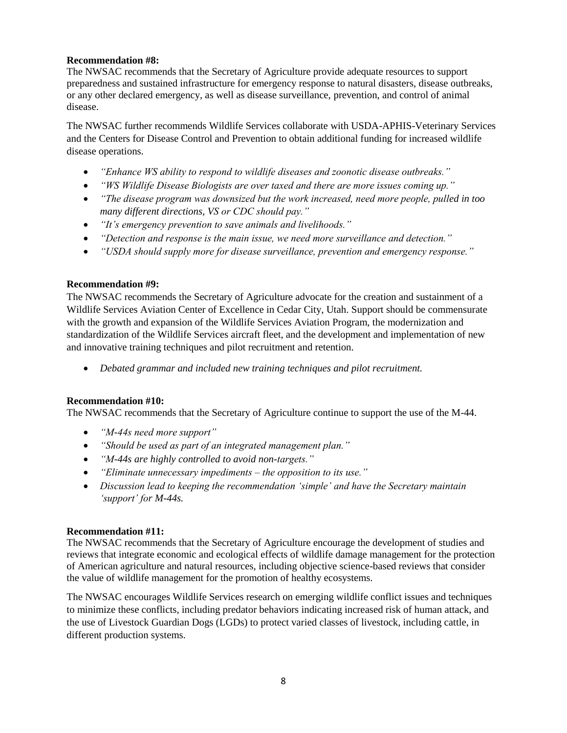## **Recommendation #8:**

The NWSAC recommends that the Secretary of Agriculture provide adequate resources to support preparedness and sustained infrastructure for emergency response to natural disasters, disease outbreaks, or any other declared emergency, as well as disease surveillance, prevention, and control of animal disease.

The NWSAC further recommends Wildlife Services collaborate with USDA-APHIS-Veterinary Services and the Centers for Disease Control and Prevention to obtain additional funding for increased wildlife disease operations.

- *"Enhance WS ability to respond to wildlife diseases and zoonotic disease outbreaks."*
- *"WS Wildlife Disease Biologists are over taxed and there are more issues coming up."*
- *"The disease program was downsized but the work increased, need more people, pulled in too many different directions, VS or CDC should pay."*
- *"It's emergency prevention to save animals and livelihoods."*
- *"Detection and response is the main issue, we need more surveillance and detection."*
- *"USDA should supply more for disease surveillance, prevention and emergency response."*

### **Recommendation #9:**

The NWSAC recommends the Secretary of Agriculture advocate for the creation and sustainment of a Wildlife Services Aviation Center of Excellence in Cedar City, Utah. Support should be commensurate with the growth and expansion of the Wildlife Services Aviation Program, the modernization and standardization of the Wildlife Services aircraft fleet, and the development and implementation of new and innovative training techniques and pilot recruitment and retention.

*Debated grammar and included new training techniques and pilot recruitment.* 

### **Recommendation #10:**

The NWSAC recommends that the Secretary of Agriculture continue to support the use of the M-44.

- *"M-44s need more support"*
- *"Should be used as part of an integrated management plan."*
- *"M-44s are highly controlled to avoid non-targets."*
- *"Eliminate unnecessary impediments – the opposition to its use."*
- *Discussion lead to keeping the recommendation 'simple' and have the Secretary maintain 'support' for M-44s.*

### **Recommendation #11:**

The NWSAC recommends that the Secretary of Agriculture encourage the development of studies and reviews that integrate economic and ecological effects of wildlife damage management for the protection of American agriculture and natural resources, including objective science-based reviews that consider the value of wildlife management for the promotion of healthy ecosystems.

The NWSAC encourages Wildlife Services research on emerging wildlife conflict issues and techniques to minimize these conflicts, including predator behaviors indicating increased risk of human attack, and the use of Livestock Guardian Dogs (LGDs) to protect varied classes of livestock, including cattle, in different production systems.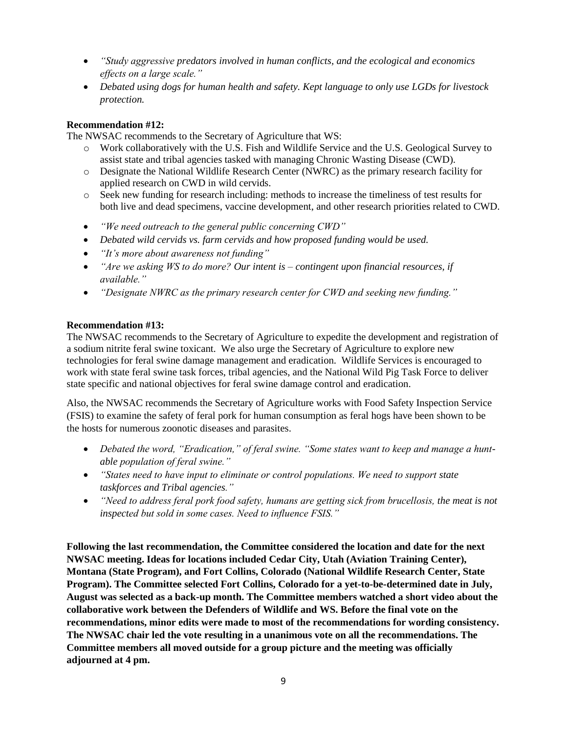- *"Study aggressive predators involved in human conflicts, and the ecological and economics effects on a large scale."*
- *Debated using dogs for human health and safety. Kept language to only use LGDs for livestock protection.*

# **Recommendation #12:**

The NWSAC recommends to the Secretary of Agriculture that WS:

- o Work collaboratively with the U.S. Fish and Wildlife Service and the U.S. Geological Survey to assist state and tribal agencies tasked with managing Chronic Wasting Disease (CWD).
- o Designate the National Wildlife Research Center (NWRC) as the primary research facility for applied research on CWD in wild cervids.
- o Seek new funding for research including: methods to increase the timeliness of test results for both live and dead specimens, vaccine development, and other research priorities related to CWD.
- *"We need outreach to the general public concerning CWD"*
- *Debated wild cervids vs. farm cervids and how proposed funding would be used.*
- *"It's more about awareness not funding"*
- *"Are we asking WS to do more? Our intent is – contingent upon financial resources, if available."*
- *"Designate NWRC as the primary research center for CWD and seeking new funding."*

## **Recommendation #13:**

The NWSAC recommends to the Secretary of Agriculture to expedite the development and registration of a sodium nitrite feral swine toxicant. We also urge the Secretary of Agriculture to explore new technologies for feral swine damage management and eradication. Wildlife Services is encouraged to work with state feral swine task forces, tribal agencies, and the National Wild Pig Task Force to deliver state specific and national objectives for feral swine damage control and eradication.

Also, the NWSAC recommends the Secretary of Agriculture works with Food Safety Inspection Service (FSIS) to examine the safety of feral pork for human consumption as feral hogs have been shown to be the hosts for numerous zoonotic diseases and parasites.

- *Debated the word, "Eradication," of feral swine. "Some states want to keep and manage a huntable population of feral swine."*
- *"States need to have input to eliminate or control populations. We need to support state taskforces and Tribal agencies."*
- *"Need to address feral pork food safety, humans are getting sick from brucellosis, the meat is not inspected but sold in some cases. Need to influence FSIS."*

**Following the last recommendation, the Committee considered the location and date for the next NWSAC meeting. Ideas for locations included Cedar City, Utah (Aviation Training Center), Montana (State Program), and Fort Collins, Colorado (National Wildlife Research Center, State Program). The Committee selected Fort Collins, Colorado for a yet-to-be-determined date in July, August was selected as a back-up month. The Committee members watched a short video about the collaborative work between the Defenders of Wildlife and WS. Before the final vote on the recommendations, minor edits were made to most of the recommendations for wording consistency. The NWSAC chair led the vote resulting in a unanimous vote on all the recommendations. The Committee members all moved outside for a group picture and the meeting was officially adjourned at 4 pm.**